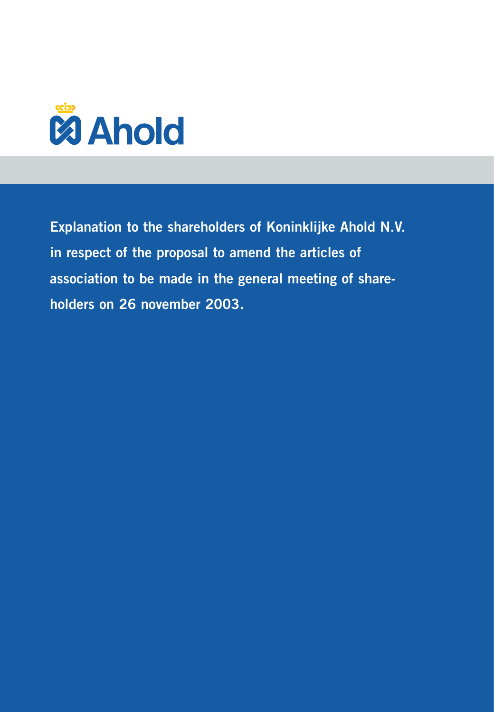

**Explanation to the shareholders of Koninklijke Ahold N.V. in respect of the proposal to amend the articles of association to be made in the general meeting of shareholders on 26 november 2003.**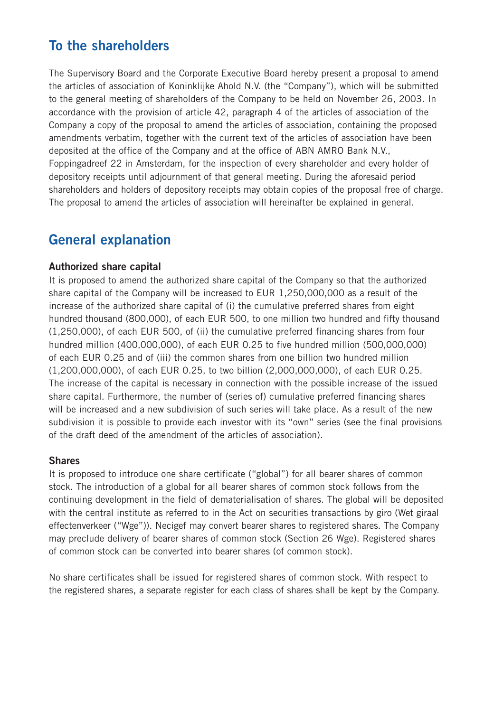# **To the shareholders**

The Supervisory Board and the Corporate Executive Board hereby present a proposal to amend the articles of association of Koninklijke Ahold N.V. (the "Company"), which will be submitted to the general meeting of shareholders of the Company to be held on November 26, 2003. In accordance with the provision of article 42, paragraph 4 of the articles of association of the Company a copy of the proposal to amend the articles of association, containing the proposed amendments verbatim, together with the current text of the articles of association have been deposited at the office of the Company and at the office of ABN AMRO Bank N.V., Foppingadreef 22 in Amsterdam, for the inspection of every shareholder and every holder of depository receipts until adjournment of that general meeting. During the aforesaid period shareholders and holders of depository receipts may obtain copies of the proposal free of charge. The proposal to amend the articles of association will hereinafter be explained in general.

## **General explanation**

#### **Authorized share capital**

It is proposed to amend the authorized share capital of the Company so that the authorized share capital of the Company will be increased to EUR 1,250,000,000 as a result of the increase of the authorized share capital of (i) the cumulative preferred shares from eight hundred thousand (800,000), of each EUR 500, to one million two hundred and fifty thousand (1,250,000), of each EUR 500, of (ii) the cumulative preferred financing shares from four hundred million (400,000,000), of each EUR 0.25 to five hundred million (500,000,000) of each EUR 0.25 and of (iii) the common shares from one billion two hundred million (1,200,000,000), of each EUR 0.25, to two billion (2,000,000,000), of each EUR 0.25. The increase of the capital is necessary in connection with the possible increase of the issued share capital. Furthermore, the number of (series of) cumulative preferred financing shares will be increased and a new subdivision of such series will take place. As a result of the new subdivision it is possible to provide each investor with its "own" series (see the final provisions of the draft deed of the amendment of the articles of association).

#### **Shares**

It is proposed to introduce one share certificate ("global") for all bearer shares of common stock. The introduction of a global for all bearer shares of common stock follows from the continuing development in the field of dematerialisation of shares. The global will be deposited with the central institute as referred to in the Act on securities transactions by giro (Wet giraal effectenverkeer ("Wge")). Necigef may convert bearer shares to registered shares. The Company may preclude delivery of bearer shares of common stock (Section 26 Wge). Registered shares of common stock can be converted into bearer shares (of common stock).

No share certificates shall be issued for registered shares of common stock. With respect to the registered shares, a separate register for each class of shares shall be kept by the Company.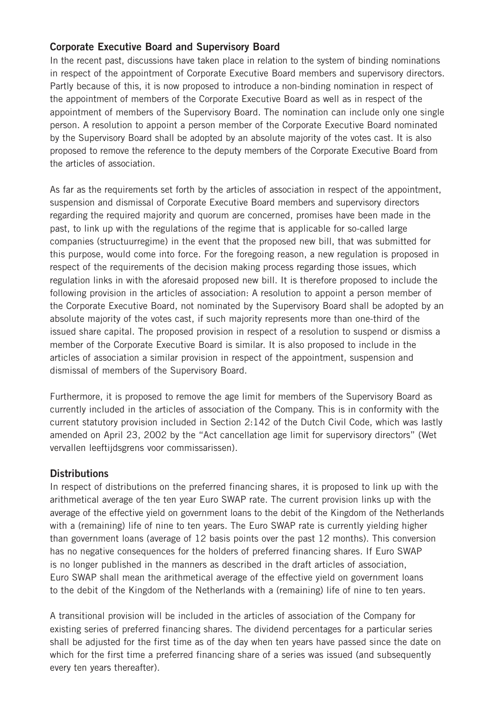## **Corporate Executive Board and Supervisory Board**

In the recent past, discussions have taken place in relation to the system of binding nominations in respect of the appointment of Corporate Executive Board members and supervisory directors. Partly because of this, it is now proposed to introduce a non-binding nomination in respect of the appointment of members of the Corporate Executive Board as well as in respect of the appointment of members of the Supervisory Board. The nomination can include only one single person. A resolution to appoint a person member of the Corporate Executive Board nominated by the Supervisory Board shall be adopted by an absolute majority of the votes cast. It is also proposed to remove the reference to the deputy members of the Corporate Executive Board from the articles of association.

As far as the requirements set forth by the articles of association in respect of the appointment, suspension and dismissal of Corporate Executive Board members and supervisory directors regarding the required majority and quorum are concerned, promises have been made in the past, to link up with the regulations of the regime that is applicable for so-called large companies (structuurregime) in the event that the proposed new bill, that was submitted for this purpose, would come into force. For the foregoing reason, a new regulation is proposed in respect of the requirements of the decision making process regarding those issues, which regulation links in with the aforesaid proposed new bill. It is therefore proposed to include the following provision in the articles of association: A resolution to appoint a person member of the Corporate Executive Board, not nominated by the Supervisory Board shall be adopted by an absolute majority of the votes cast, if such majority represents more than one-third of the issued share capital. The proposed provision in respect of a resolution to suspend or dismiss a member of the Corporate Executive Board is similar. It is also proposed to include in the articles of association a similar provision in respect of the appointment, suspension and dismissal of members of the Supervisory Board.

Furthermore, it is proposed to remove the age limit for members of the Supervisory Board as currently included in the articles of association of the Company. This is in conformity with the current statutory provision included in Section 2:142 of the Dutch Civil Code, which was lastly amended on April 23, 2002 by the "Act cancellation age limit for supervisory directors" (Wet vervallen leeftijdsgrens voor commissarissen).

## **Distributions**

In respect of distributions on the preferred financing shares, it is proposed to link up with the arithmetical average of the ten year Euro SWAP rate. The current provision links up with the average of the effective yield on government loans to the debit of the Kingdom of the Netherlands with a (remaining) life of nine to ten years. The Euro SWAP rate is currently yielding higher than government loans (average of 12 basis points over the past 12 months). This conversion has no negative consequences for the holders of preferred financing shares. If Euro SWAP is no longer published in the manners as described in the draft articles of association, Euro SWAP shall mean the arithmetical average of the effective yield on government loans to the debit of the Kingdom of the Netherlands with a (remaining) life of nine to ten years.

A transitional provision will be included in the articles of association of the Company for existing series of preferred financing shares. The dividend percentages for a particular series shall be adjusted for the first time as of the day when ten years have passed since the date on which for the first time a preferred financing share of a series was issued (and subsequently every ten years thereafter).